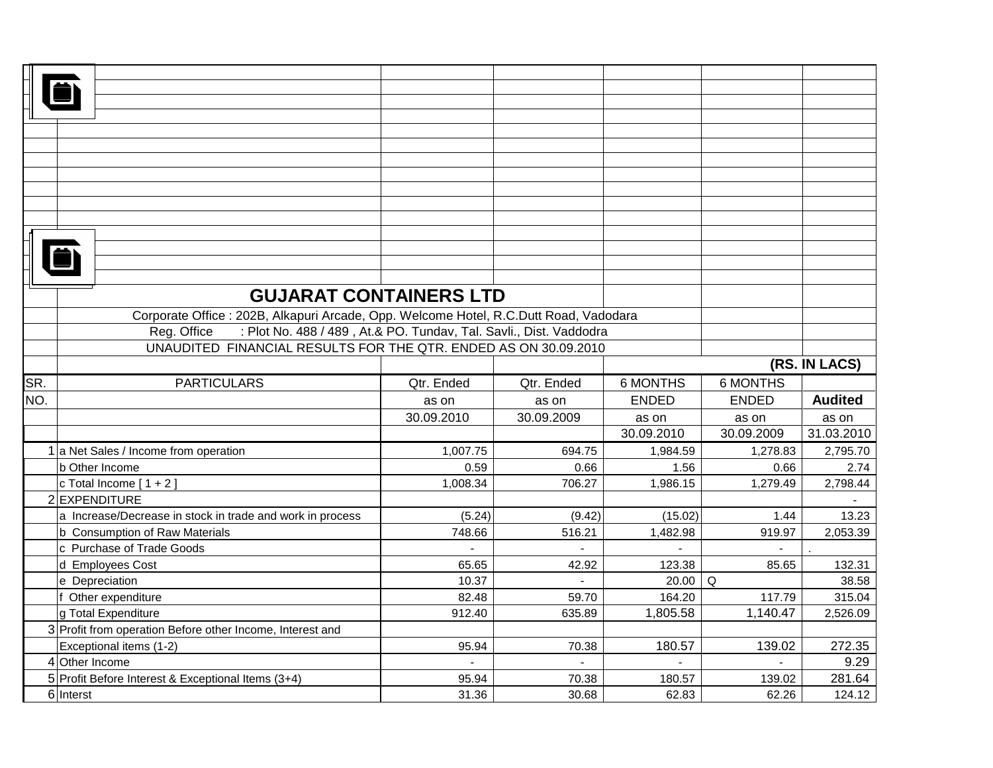| <b>GUJARAT CONTAINERS LTD</b><br>Corporate Office : 202B, Alkapuri Arcade, Opp. Welcome Hotel, R.C.Dutt Road, Vadodara<br>: Plot No. 488 / 489, At.& PO. Tundav, Tal. Savli., Dist. Vaddodra<br>Reg. Office<br>UNAUDITED FINANCIAL RESULTS FOR THE QTR. ENDED AS ON 30.09.2010<br>(RS. IN LACS)<br>SR.<br><b>6 MONTHS</b><br><b>PARTICULARS</b><br>Qtr. Ended<br>Qtr. Ended<br><b>6 MONTHS</b><br>NO.<br><b>Audited</b><br><b>ENDED</b><br><b>ENDED</b><br>as on<br>as on |                |
|---------------------------------------------------------------------------------------------------------------------------------------------------------------------------------------------------------------------------------------------------------------------------------------------------------------------------------------------------------------------------------------------------------------------------------------------------------------------------|----------------|
|                                                                                                                                                                                                                                                                                                                                                                                                                                                                           |                |
|                                                                                                                                                                                                                                                                                                                                                                                                                                                                           |                |
|                                                                                                                                                                                                                                                                                                                                                                                                                                                                           |                |
|                                                                                                                                                                                                                                                                                                                                                                                                                                                                           |                |
|                                                                                                                                                                                                                                                                                                                                                                                                                                                                           |                |
|                                                                                                                                                                                                                                                                                                                                                                                                                                                                           |                |
|                                                                                                                                                                                                                                                                                                                                                                                                                                                                           |                |
|                                                                                                                                                                                                                                                                                                                                                                                                                                                                           |                |
|                                                                                                                                                                                                                                                                                                                                                                                                                                                                           |                |
|                                                                                                                                                                                                                                                                                                                                                                                                                                                                           |                |
|                                                                                                                                                                                                                                                                                                                                                                                                                                                                           |                |
|                                                                                                                                                                                                                                                                                                                                                                                                                                                                           |                |
|                                                                                                                                                                                                                                                                                                                                                                                                                                                                           |                |
|                                                                                                                                                                                                                                                                                                                                                                                                                                                                           |                |
|                                                                                                                                                                                                                                                                                                                                                                                                                                                                           |                |
|                                                                                                                                                                                                                                                                                                                                                                                                                                                                           |                |
|                                                                                                                                                                                                                                                                                                                                                                                                                                                                           |                |
|                                                                                                                                                                                                                                                                                                                                                                                                                                                                           |                |
|                                                                                                                                                                                                                                                                                                                                                                                                                                                                           |                |
|                                                                                                                                                                                                                                                                                                                                                                                                                                                                           |                |
| 30.09.2010<br>30.09.2009<br>as on<br>as on<br>as on                                                                                                                                                                                                                                                                                                                                                                                                                       |                |
| 30.09.2010<br>30.09.2009<br>31.03.2010                                                                                                                                                                                                                                                                                                                                                                                                                                    |                |
| 1 a Net Sales / Income from operation<br>1,007.75<br>694.75<br>1,984.59<br>1,278.83                                                                                                                                                                                                                                                                                                                                                                                       | 2,795.70       |
| 0.59<br>0.66<br>0.66<br>b Other Income<br>1.56                                                                                                                                                                                                                                                                                                                                                                                                                            | 2.74           |
| 1,008.34<br>706.27<br>1,986.15<br>c Total Income $[1 + 2]$<br>1,279.49                                                                                                                                                                                                                                                                                                                                                                                                    | 2,798.44       |
| 2 EXPENDITURE                                                                                                                                                                                                                                                                                                                                                                                                                                                             |                |
| a Increase/Decrease in stock in trade and work in process<br>(5.24)<br>(9.42)<br>(15.02)<br>1.44                                                                                                                                                                                                                                                                                                                                                                          | 13.23          |
| b Consumption of Raw Materials<br>748.66<br>516.21<br>1,482.98<br>919.97<br>$\overline{a}$                                                                                                                                                                                                                                                                                                                                                                                | 2,053.39       |
| c Purchase of Trade Goods<br>$\blacksquare$<br>$\overline{a}$<br>65.65<br>42.92<br>123.38<br>85.65                                                                                                                                                                                                                                                                                                                                                                        | 132.31         |
| d Employees Cost<br>10.37<br>20.00<br>e Depreciation<br>Q                                                                                                                                                                                                                                                                                                                                                                                                                 | 38.58          |
| f Other expenditure<br>82.48<br>59.70<br>164.20<br>117.79                                                                                                                                                                                                                                                                                                                                                                                                                 | 315.04         |
| g Total Expenditure<br>912.40<br>635.89<br>1,805.58<br>1,140.47                                                                                                                                                                                                                                                                                                                                                                                                           | 2,526.09       |
| 3 Profit from operation Before other Income, Interest and                                                                                                                                                                                                                                                                                                                                                                                                                 |                |
| 180.57<br>139.02<br>Exceptional items (1-2)<br>95.94<br>70.38                                                                                                                                                                                                                                                                                                                                                                                                             | 272.35         |
| 4 Other Income                                                                                                                                                                                                                                                                                                                                                                                                                                                            |                |
| 5 Profit Before Interest & Exceptional Items (3+4)<br>95.94<br>70.38<br>180.57<br>139.02                                                                                                                                                                                                                                                                                                                                                                                  |                |
| 6 Interst<br>31.36<br>30.68<br>62.83<br>62.26<br>124.12                                                                                                                                                                                                                                                                                                                                                                                                                   | 9.29<br>281.64 |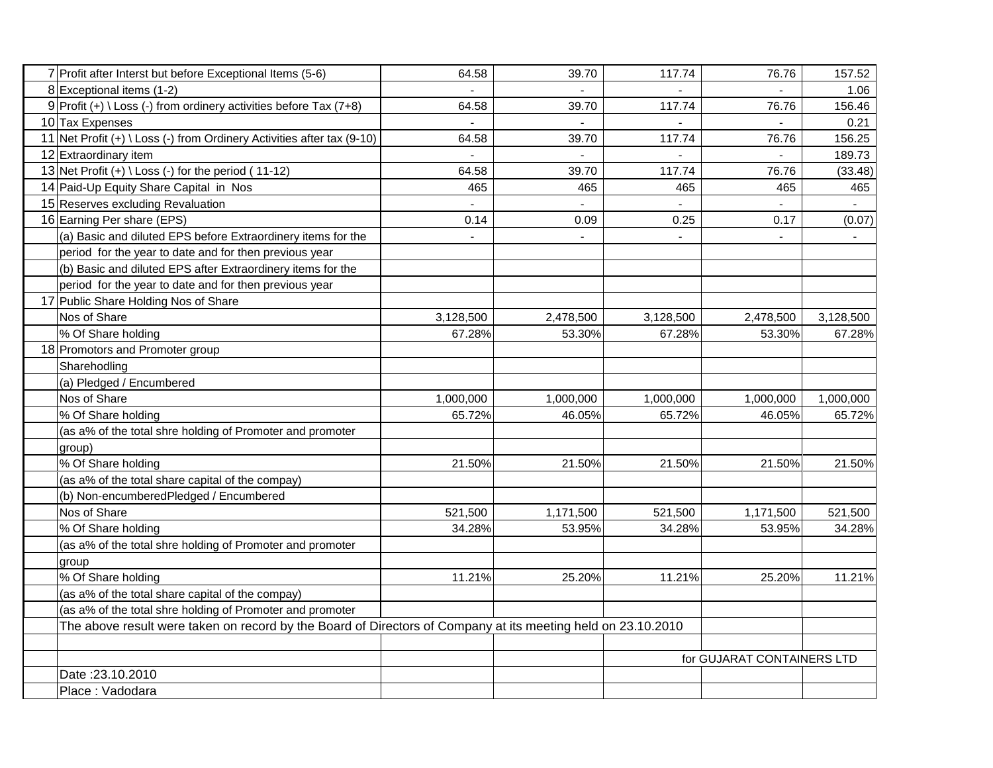| 7 Profit after Interst but before Exceptional Items (5-6)                                                    | 64.58          | 39.70          | 117.74                   | 76.76                      | 157.52    |
|--------------------------------------------------------------------------------------------------------------|----------------|----------------|--------------------------|----------------------------|-----------|
| 8 Exceptional items (1-2)                                                                                    |                |                |                          |                            | 1.06      |
| 9 Profit (+) \ Loss (-) from ordinery activities before Tax (7+8)                                            | 64.58          | 39.70          | 117.74                   | 76.76                      | 156.46    |
| 10 Tax Expenses                                                                                              |                |                |                          |                            | 0.21      |
| 11 Net Profit (+) \ Loss (-) from Ordinery Activities after tax (9-10)                                       | 64.58          | 39.70          | 117.74                   | 76.76                      | 156.25    |
| 12 Extraordinary item                                                                                        |                |                |                          |                            | 189.73    |
| 13 Net Profit $(+) \setminus Loss$ (-) for the period (11-12)                                                | 64.58          | 39.70          | 117.74                   | 76.76                      | (33.48)   |
| 14 Paid-Up Equity Share Capital in Nos                                                                       | 465            | 465            | 465                      | 465                        | 465       |
| 15 Reserves excluding Revaluation                                                                            | $\blacksquare$ | $\blacksquare$ |                          | $\blacksquare$             |           |
| 16 Earning Per share (EPS)                                                                                   | 0.14           | 0.09           | 0.25                     | 0.17                       | (0.07)    |
| (a) Basic and diluted EPS before Extraordinery items for the                                                 |                | $\blacksquare$ | $\overline{\phantom{a}}$ |                            |           |
| period for the year to date and for then previous year                                                       |                |                |                          |                            |           |
| (b) Basic and diluted EPS after Extraordinery items for the                                                  |                |                |                          |                            |           |
| period for the year to date and for then previous year                                                       |                |                |                          |                            |           |
| 17 Public Share Holding Nos of Share                                                                         |                |                |                          |                            |           |
| Nos of Share                                                                                                 | 3,128,500      | 2,478,500      | 3,128,500                | 2,478,500                  | 3,128,500 |
| % Of Share holding                                                                                           | 67.28%         | 53.30%         | 67.28%                   | 53.30%                     | 67.28%    |
| 18 Promotors and Promoter group                                                                              |                |                |                          |                            |           |
| Sharehodling                                                                                                 |                |                |                          |                            |           |
| (a) Pledged / Encumbered                                                                                     |                |                |                          |                            |           |
| Nos of Share                                                                                                 | 1,000,000      | 1,000,000      | 1,000,000                | 1,000,000                  | 1,000,000 |
| % Of Share holding                                                                                           | 65.72%         | 46.05%         | 65.72%                   | 46.05%                     | 65.72%    |
| (as a% of the total shre holding of Promoter and promoter                                                    |                |                |                          |                            |           |
| group)                                                                                                       |                |                |                          |                            |           |
| % Of Share holding                                                                                           | 21.50%         | 21.50%         | 21.50%                   | 21.50%                     | 21.50%    |
| (as a% of the total share capital of the compay)                                                             |                |                |                          |                            |           |
| (b) Non-encumberedPledged / Encumbered                                                                       |                |                |                          |                            |           |
| Nos of Share                                                                                                 | 521,500        | 1,171,500      | 521,500                  | 1,171,500                  | 521,500   |
| % Of Share holding                                                                                           | 34.28%         | 53.95%         | 34.28%                   | 53.95%                     | 34.28%    |
| (as a% of the total shre holding of Promoter and promoter                                                    |                |                |                          |                            |           |
| group                                                                                                        |                |                |                          |                            |           |
| % Of Share holding                                                                                           | 11.21%         | 25.20%         | 11.21%                   | 25.20%                     | 11.21%    |
| (as a% of the total share capital of the compay)                                                             |                |                |                          |                            |           |
| (as a% of the total shre holding of Promoter and promoter                                                    |                |                |                          |                            |           |
| The above result were taken on record by the Board of Directors of Company at its meeting held on 23.10.2010 |                |                |                          |                            |           |
|                                                                                                              |                |                |                          |                            |           |
|                                                                                                              |                |                |                          | for GUJARAT CONTAINERS LTD |           |
| Date: 23.10.2010                                                                                             |                |                |                          |                            |           |
| Place: Vadodara                                                                                              |                |                |                          |                            |           |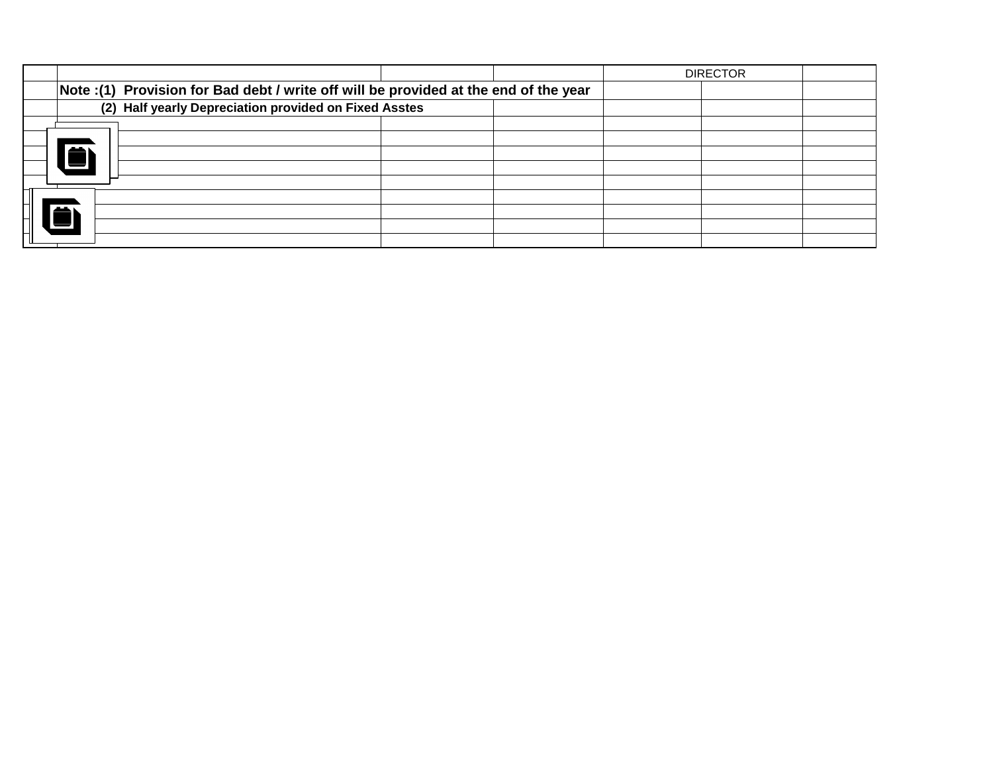|                                                                                      |                                                       |  |  |  | <b>DIRECTOR</b> |  |  |  |  |  |  |
|--------------------------------------------------------------------------------------|-------------------------------------------------------|--|--|--|-----------------|--|--|--|--|--|--|
| Note :(1) Provision for Bad debt / write off will be provided at the end of the year |                                                       |  |  |  |                 |  |  |  |  |  |  |
|                                                                                      | (2) Half yearly Depreciation provided on Fixed Asstes |  |  |  |                 |  |  |  |  |  |  |
|                                                                                      |                                                       |  |  |  |                 |  |  |  |  |  |  |
|                                                                                      |                                                       |  |  |  |                 |  |  |  |  |  |  |
| حسم                                                                                  |                                                       |  |  |  |                 |  |  |  |  |  |  |
|                                                                                      |                                                       |  |  |  |                 |  |  |  |  |  |  |
|                                                                                      |                                                       |  |  |  |                 |  |  |  |  |  |  |
|                                                                                      |                                                       |  |  |  |                 |  |  |  |  |  |  |
|                                                                                      |                                                       |  |  |  |                 |  |  |  |  |  |  |
|                                                                                      |                                                       |  |  |  |                 |  |  |  |  |  |  |
|                                                                                      |                                                       |  |  |  |                 |  |  |  |  |  |  |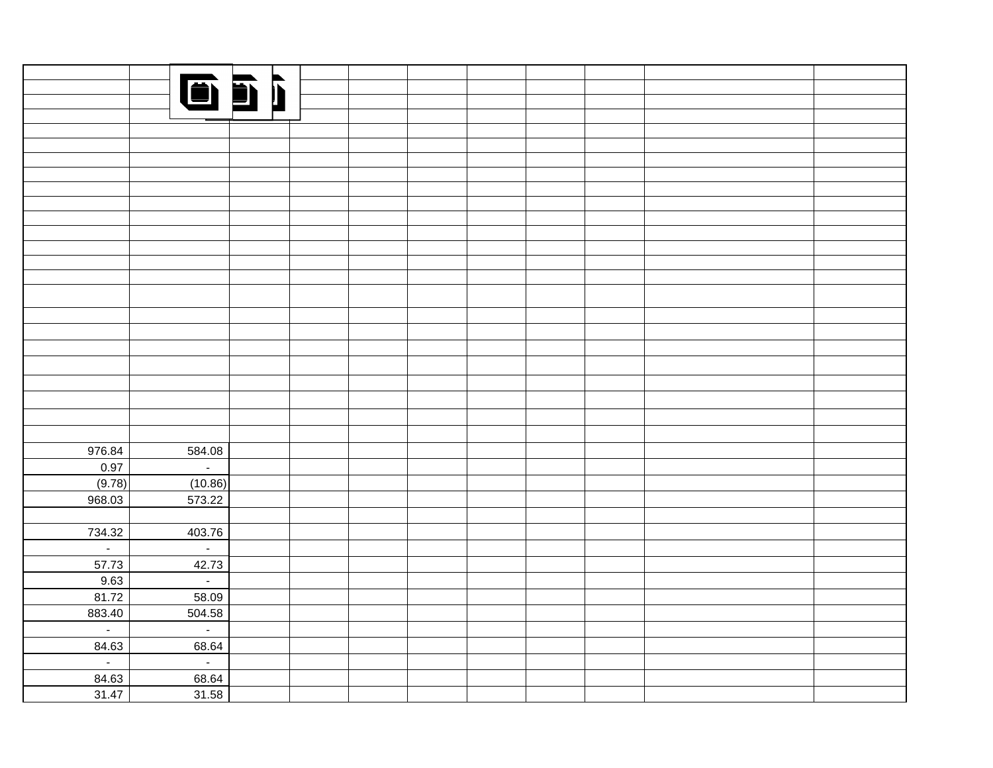|                          |                             | 651 |  |  |  |  |
|--------------------------|-----------------------------|-----|--|--|--|--|
|                          |                             |     |  |  |  |  |
|                          |                             |     |  |  |  |  |
|                          |                             |     |  |  |  |  |
|                          |                             |     |  |  |  |  |
|                          |                             |     |  |  |  |  |
|                          |                             |     |  |  |  |  |
|                          |                             |     |  |  |  |  |
|                          |                             |     |  |  |  |  |
|                          |                             |     |  |  |  |  |
|                          |                             |     |  |  |  |  |
|                          |                             |     |  |  |  |  |
|                          |                             |     |  |  |  |  |
|                          |                             |     |  |  |  |  |
|                          |                             |     |  |  |  |  |
|                          |                             |     |  |  |  |  |
|                          |                             |     |  |  |  |  |
|                          |                             |     |  |  |  |  |
|                          |                             |     |  |  |  |  |
|                          |                             |     |  |  |  |  |
|                          |                             |     |  |  |  |  |
|                          |                             |     |  |  |  |  |
|                          |                             |     |  |  |  |  |
|                          |                             |     |  |  |  |  |
| 976.84                   | 584.08                      |     |  |  |  |  |
| $\frac{0.97}{(9.78)}$    | $\mathbb{Z}^{\mathbb{Z}}$   |     |  |  |  |  |
|                          |                             |     |  |  |  |  |
| 968.03                   | $(10.86)$<br>573.22         |     |  |  |  |  |
|                          |                             |     |  |  |  |  |
| 734.32                   | 403.76                      |     |  |  |  |  |
| $\overline{\phantom{0}}$ | $\mathcal{L}_{\mathcal{A}}$ |     |  |  |  |  |
| 57.73                    | 42.73                       |     |  |  |  |  |
| 9.63                     | $\omega_{\rm c}$            |     |  |  |  |  |
| 81.72                    | 58.09                       |     |  |  |  |  |
| 883.40                   | 504.58                      |     |  |  |  |  |
| $\overline{\mathcal{L}}$ | $\mathcal{L}^{\pm}$         |     |  |  |  |  |
| 84.63                    | 68.64                       |     |  |  |  |  |
| $\overline{\mathcal{L}}$ | $\omega_{\rm c}$            |     |  |  |  |  |
| 84.63                    | 68.64                       |     |  |  |  |  |
| 31.47                    | 31.58                       |     |  |  |  |  |
|                          |                             |     |  |  |  |  |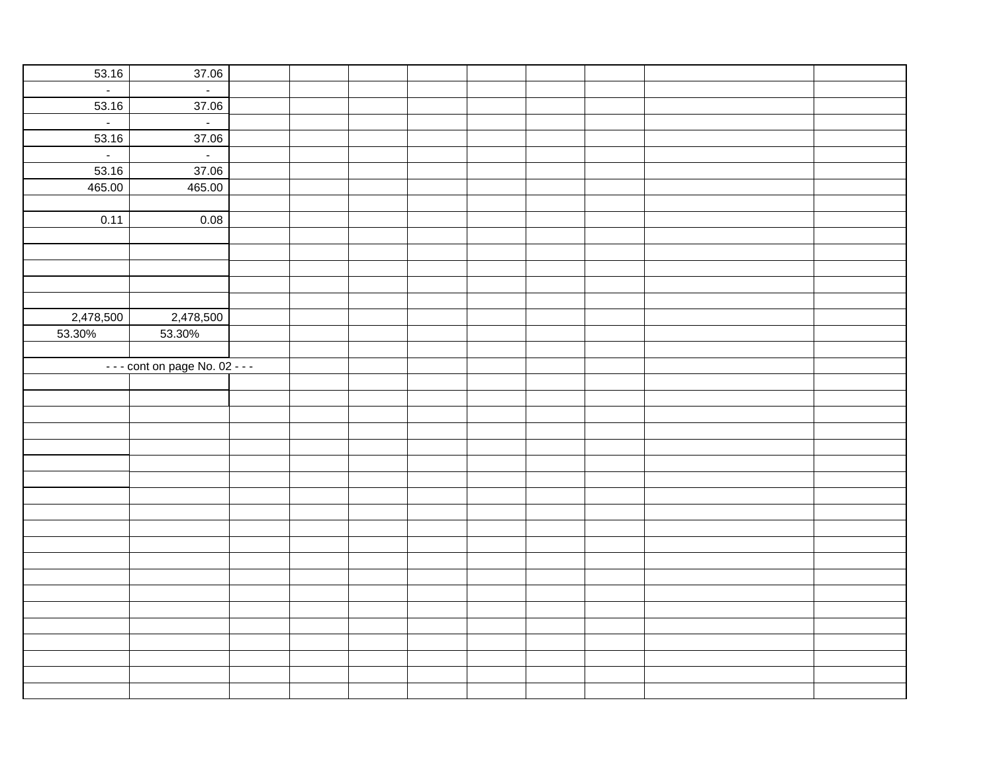| 53.16                       | 37.06                         |  |  |  |  |
|-----------------------------|-------------------------------|--|--|--|--|
| $\omega$                    | $\sim$                        |  |  |  |  |
| 53.16                       | 37.06                         |  |  |  |  |
| $\mathcal{L}^{\mathcal{A}}$ | $\sim$                        |  |  |  |  |
| 53.16                       | 37.06                         |  |  |  |  |
| $\mathbb{L}^+$              | $\sim$                        |  |  |  |  |
| 53.16                       | 37.06                         |  |  |  |  |
| 465.00                      | 465.00                        |  |  |  |  |
|                             |                               |  |  |  |  |
| 0.11                        | 0.08                          |  |  |  |  |
|                             |                               |  |  |  |  |
|                             |                               |  |  |  |  |
|                             |                               |  |  |  |  |
|                             |                               |  |  |  |  |
|                             |                               |  |  |  |  |
| 2,478,500                   | 2,478,500                     |  |  |  |  |
| 53.30%                      | 53.30%                        |  |  |  |  |
|                             |                               |  |  |  |  |
|                             | $--$ cont on page No. 02 $--$ |  |  |  |  |
|                             |                               |  |  |  |  |
|                             |                               |  |  |  |  |
|                             |                               |  |  |  |  |
|                             |                               |  |  |  |  |
|                             |                               |  |  |  |  |
|                             |                               |  |  |  |  |
|                             |                               |  |  |  |  |
|                             |                               |  |  |  |  |
|                             |                               |  |  |  |  |
|                             |                               |  |  |  |  |
|                             |                               |  |  |  |  |
|                             |                               |  |  |  |  |
|                             |                               |  |  |  |  |
|                             |                               |  |  |  |  |
|                             |                               |  |  |  |  |
|                             |                               |  |  |  |  |
|                             |                               |  |  |  |  |
|                             |                               |  |  |  |  |
|                             |                               |  |  |  |  |
|                             |                               |  |  |  |  |
|                             |                               |  |  |  |  |